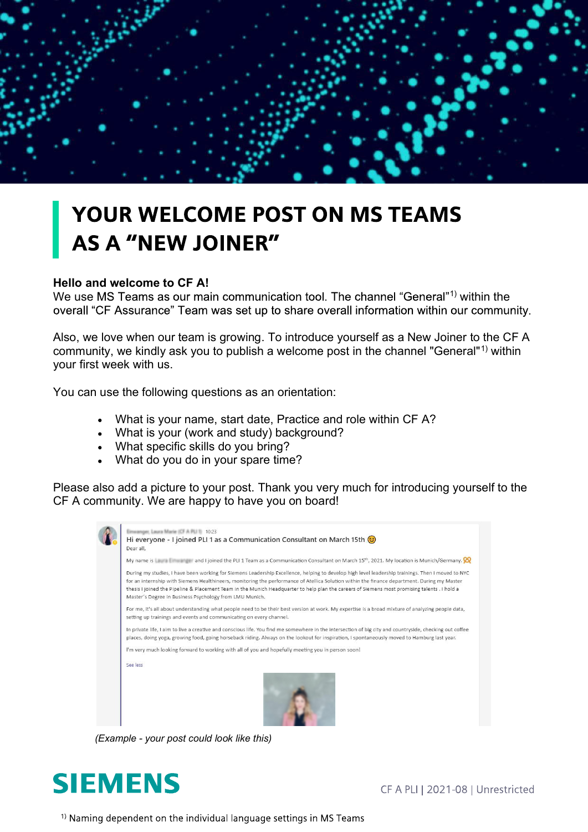## YOUR WELCOME POST ON MS TEAMS **AS A "NEW JOINER"**

## **Hello and welcome to CF A!**

We use MS Teams as our main communication tool. The channel "General"<sup>1)</sup> within the overall "CF Assurance" Team was set up to share overall information within our community.

Also, we love when our team is growing. To introduce yourself as a New Joiner to the CF A community, we kindly ask you to publish a welcome post in the channel "General"<sup>1)</sup> within your first week with us.

You can use the following questions as an orientation:

- What is your name, start date, Practice and role within CF A?
- What is your (work and study) background?
- What specific skills do you bring?
- What do you do in your spare time?

Please also add a picture to your post. Thank you very much for introducing yourself to the CF A community. We are happy to have you on board!

|          | My name is the figure of the PLI 1 Team as a Communication Consultant on March 15 <sup>th</sup> , 2021. My location is Munich/Germany.                                                                                                                                                                                                                                                                                                                                                                        |
|----------|---------------------------------------------------------------------------------------------------------------------------------------------------------------------------------------------------------------------------------------------------------------------------------------------------------------------------------------------------------------------------------------------------------------------------------------------------------------------------------------------------------------|
|          | During my studies, I have been working for Siemens Leadership Excellence, helping to develop high level leadership trainings. Then I moved to NYC<br>for an internship with Siemens Healthineers, monitoring the performance of Atellica Solution within the finance department. During my Master<br>thesis I joined the Pipeline & Placement Team in the Munich Headquarter to help plan the careers of Siemens most promising talents . I hold a<br>Master's Degree in Business Psychology from LMU Munich. |
|          | For me, it's all about understanding what people need to be their best version at work. My expertise is a broad mixture of analyzing people data,<br>setting up trainings and events and communicating on every channel.                                                                                                                                                                                                                                                                                      |
|          | In private life, I aim to live a creative and conscious life. You find me somewhere in the intersection of big city and countryside, checking out coffee<br>places, doing yoga, growing food, going horseback riding. Always on the lookout for inspiration, I spontaneously moved to Hamburg last year.                                                                                                                                                                                                      |
|          | I'm very much looking forward to working with all of you and hopefully meeting you in person soon!                                                                                                                                                                                                                                                                                                                                                                                                            |
| See less |                                                                                                                                                                                                                                                                                                                                                                                                                                                                                                               |
|          |                                                                                                                                                                                                                                                                                                                                                                                                                                                                                                               |

*(Example - your post could look like this)*



CF A PLI | 2021-08 | Unrestricted

<sup>1)</sup> Naming dependent on the individual language settings in MS Teams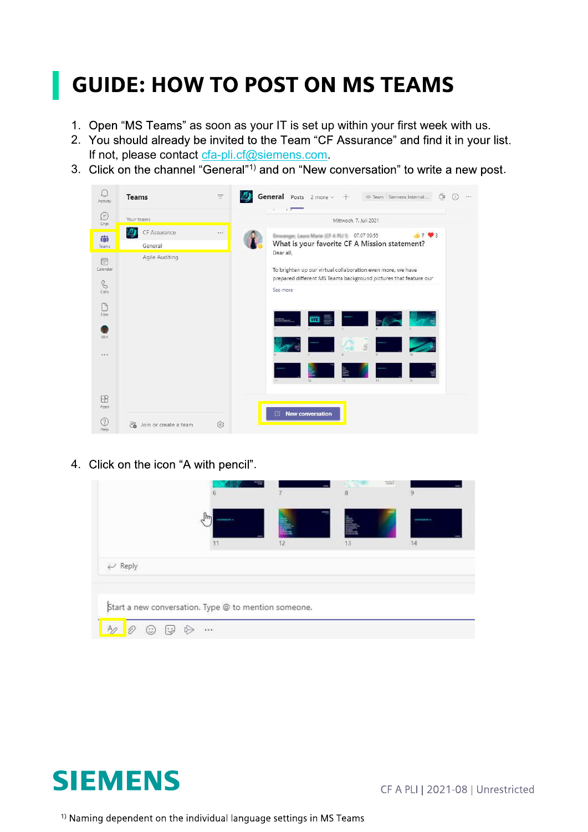## **GUIDE: HOW TO POST ON MS TEAMS**

- 1. Open "MS Teams" as soon as your IT is set up within your first week with us.
- 2. You should already be invited to the Team "CF Assurance" and find it in your list. If not, please contact cfa-pli.cf@siemens.com.
- 3. Click on the channel "General"<sup>1)</sup> and on "New conversation" to write a new post.



4. Click on the icon "A with pencil".

|       | 6                                                    |                 | 8  | $\frac{566433}{46449}$<br>9 |
|-------|------------------------------------------------------|-----------------|----|-----------------------------|
|       | <b>FURNISHER</b>                                     |                 |    | STORAGE S                   |
|       |                                                      | 12 <sup>2</sup> | 13 | 14                          |
| Reply |                                                      |                 |    |                             |
|       |                                                      |                 |    |                             |
|       | Start a new conversation. Type @ to mention someone. |                 |    |                             |
|       |                                                      |                 |    |                             |



<sup>1)</sup> Naming dependent on the individual language settings in MS Teams